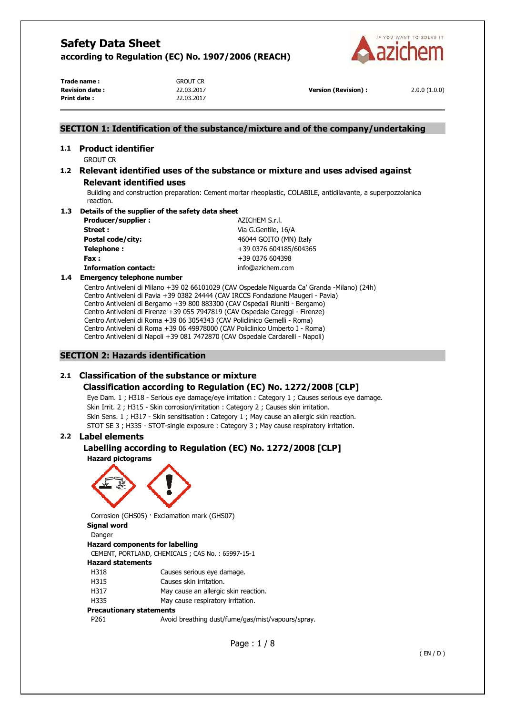

**Trade name :** GROUT CR **Revision date :** 22.03.2017 **Version (Revision) :** 2.0.0 (1.0.0) **Print date :** 22.03.2017

### **SECTION 1: Identification of the substance/mixture and of the company/undertaking**

# **1.1 Product identifier**

GROUT CR

### **1.2 Relevant identified uses of the substance or mixture and uses advised against Relevant identified uses**

Building and construction preparation: Cement mortar rheoplastic, COLABILE, antidilavante, a superpozzolanica reaction.

#### **1.3 Details of the supplier of the safety data sheet**

| Producer/supplier:          | AZICHEM S.r.l.         |
|-----------------------------|------------------------|
| Street:                     | Via G.Gentile, 16/A    |
| Postal code/city:           | 46044 GOITO (MN) Italy |
| Telephone:                  | +39 0376 604185/604365 |
| Fax:                        | +39 0376 604398        |
| <b>Information contact:</b> | info@azichem.com       |
|                             |                        |

### **1.4 Emergency telephone number**

Centro Antiveleni di Milano +39 02 66101029 (CAV Ospedale Niguarda Ca' Granda -Milano) (24h) Centro Antiveleni di Pavia +39 0382 24444 (CAV IRCCS Fondazione Maugeri - Pavia) Centro Antiveleni di Bergamo +39 800 883300 (CAV Ospedali Riuniti - Bergamo) Centro Antiveleni di Firenze +39 055 7947819 (CAV Ospedale Careggi - Firenze) Centro Antiveleni di Roma +39 06 3054343 (CAV Policlinico Gemelli - Roma) Centro Antiveleni di Roma +39 06 49978000 (CAV Policlinico Umberto I - Roma) Centro Antiveleni di Napoli +39 081 7472870 (CAV Ospedale Cardarelli - Napoli)

### **SECTION 2: Hazards identification**

### **2.1 Classification of the substance or mixture**

### **Classification according to Regulation (EC) No. 1272/2008 [CLP]**

Eye Dam. 1 ; H318 - Serious eye damage/eye irritation : Category 1 ; Causes serious eye damage. Skin Irrit. 2 ; H315 - Skin corrosion/irritation : Category 2 ; Causes skin irritation. Skin Sens. 1 ; H317 - Skin sensitisation : Category 1 ; May cause an allergic skin reaction. STOT SE 3 ; H335 - STOT-single exposure : Category 3 ; May cause respiratory irritation.

### **2.2 Label elements**

# **Labelling according to Regulation (EC) No. 1272/2008 [CLP]**

**Hazard pictograms** 



Corrosion (GHS05) · Exclamation mark (GHS07) **Signal word** 

Danger

### **Hazard components for labelling**

CEMENT, PORTLAND, CHEMICALS ; CAS No. : 65997-15-1

### **Hazard statements**

H318 Causes serious eye damage.

- H315 Causes skin irritation.
- H317 May cause an allergic skin reaction.
- H335 May cause respiratory irritation.

### **Precautionary statements**

P261 Avoid breathing dust/fume/gas/mist/vapours/spray.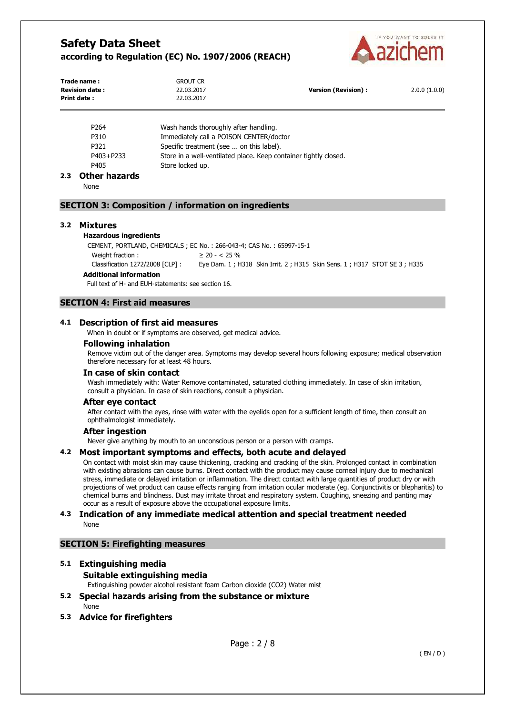

| Trade name:<br><b>Revision date:</b><br><b>Print date:</b> |                                                            | <b>GROUT CR</b><br>22.03.2017<br>22.03.2017 | <b>Version (Revision):</b>                                                                              | 2.0.0(1.0.0) |
|------------------------------------------------------------|------------------------------------------------------------|---------------------------------------------|---------------------------------------------------------------------------------------------------------|--------------|
|                                                            | P264                                                       | Wash hands thoroughly after handling.       |                                                                                                         |              |
|                                                            | P310                                                       |                                             | Immediately call a POISON CENTER/doctor                                                                 |              |
|                                                            | P321                                                       | Specific treatment (see  on this label).    |                                                                                                         |              |
| P403+P233                                                  |                                                            |                                             | Store in a well-ventilated place. Keep container tightly closed.                                        |              |
|                                                            | P405                                                       | Store locked up.                            |                                                                                                         |              |
|                                                            | 2.3 Other hazards                                          |                                             |                                                                                                         |              |
|                                                            | None                                                       |                                             |                                                                                                         |              |
|                                                            | <b>SECTION 3: Composition / information on ingredients</b> |                                             |                                                                                                         |              |
| 3.2                                                        | <b>Mixtures</b>                                            |                                             |                                                                                                         |              |
|                                                            | <b>Hazardous ingredients</b>                               |                                             |                                                                                                         |              |
|                                                            |                                                            |                                             | CEMENT, PORTLAND, CHEMICALS; EC No.: 266-043-4; CAS No.: 65997-15-1                                     |              |
|                                                            | Weight fraction:                                           | $\geq$ 20 - < 25 %                          |                                                                                                         |              |
|                                                            |                                                            |                                             | Classification 1272/2008 [CLP]: Eye Dam. 1; H318 Skin Irrit. 2; H315 Skin Sens. 1; H317 STOT SE 3; H335 |              |
|                                                            | <b>Additional information</b>                              |                                             |                                                                                                         |              |

Full text of H- and EUH-statements: see section 16.

### **SECTION 4: First aid measures**

### **4.1 Description of first aid measures**

When in doubt or if symptoms are observed, get medical advice.

### **Following inhalation**

Remove victim out of the danger area. Symptoms may develop several hours following exposure; medical observation therefore necessary for at least 48 hours.

### **In case of skin contact**

Wash immediately with: Water Remove contaminated, saturated clothing immediately. In case of skin irritation, consult a physician. In case of skin reactions, consult a physician.

### **After eye contact**

After contact with the eyes, rinse with water with the eyelids open for a sufficient length of time, then consult an ophthalmologist immediately.

### **After ingestion**

Never give anything by mouth to an unconscious person or a person with cramps.

### **4.2 Most important symptoms and effects, both acute and delayed**

On contact with moist skin may cause thickening, cracking and cracking of the skin. Prolonged contact in combination with existing abrasions can cause burns. Direct contact with the product may cause corneal injury due to mechanical stress, immediate or delayed irritation or inflammation. The direct contact with large quantities of product dry or with projections of wet product can cause effects ranging from irritation ocular moderate (eg. Conjunctivitis or blepharitis) to chemical burns and blindness. Dust may irritate throat and respiratory system. Coughing, sneezing and panting may occur as a result of exposure above the occupational exposure limits.

### **4.3 Indication of any immediate medical attention and special treatment needed**  None

### **SECTION 5: Firefighting measures**

# **5.1 Extinguishing media Suitable extinguishing media**

Extinguishing powder alcohol resistant foam Carbon dioxide (CO2) Water mist

- **5.2 Special hazards arising from the substance or mixture**  None
- **5.3 Advice for firefighters**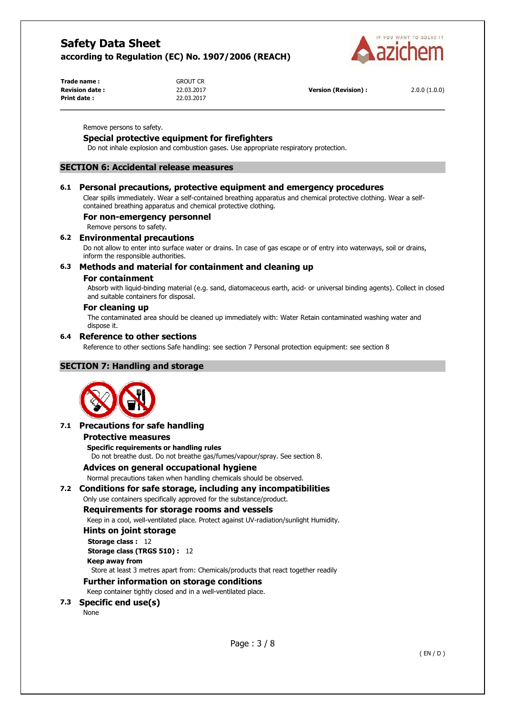

| Trade name:           | Grout Cr   |                            |              |
|-----------------------|------------|----------------------------|--------------|
| <b>Revision date:</b> | 22.03.2017 | <b>Version (Revision):</b> | 2.0.0(1.0.0) |
| <b>Print date:</b>    | 22.03.2017 |                            |              |

Remove persons to safety.

### **Special protective equipment for firefighters**

Do not inhale explosion and combustion gases. Use appropriate respiratory protection.

### **SECTION 6: Accidental release measures**

#### **6.1 Personal precautions, protective equipment and emergency procedures**

Clear spills immediately. Wear a self-contained breathing apparatus and chemical protective clothing. Wear a selfcontained breathing apparatus and chemical protective clothing.

#### **For non-emergency personnel**

Remove persons to safety.

#### **6.2 Environmental precautions**

Do not allow to enter into surface water or drains. In case of gas escape or of entry into waterways, soil or drains, inform the responsible authorities.

### **6.3 Methods and material for containment and cleaning up**

#### **For containment**

Absorb with liquid-binding material (e.g. sand, diatomaceous earth, acid- or universal binding agents). Collect in closed and suitable containers for disposal.

#### **For cleaning up**

The contaminated area should be cleaned up immediately with: Water Retain contaminated washing water and dispose it.

#### **6.4 Reference to other sections**

Reference to other sections Safe handling: see section 7 Personal protection equipment: see section 8

### **SECTION 7: Handling and storage**



### **7.1 Precautions for safe handling**

#### **Protective measures**

**Specific requirements or handling rules** 

Do not breathe dust. Do not breathe gas/fumes/vapour/spray. See section 8.

#### **Advices on general occupational hygiene**

Normal precautions taken when handling chemicals should be observed.

#### **7.2 Conditions for safe storage, including any incompatibilities**

### Only use containers specifically approved for the substance/product.

### **Requirements for storage rooms and vessels**

Keep in a cool, well-ventilated place. Protect against UV-radiation/sunlight Humidity.

### **Hints on joint storage**

**Storage class :** 12 **Storage class (TRGS 510) :** 12

```
Keep away from
```
Store at least 3 metres apart from: Chemicals/products that react together readily

## **Further information on storage conditions**

Keep container tightly closed and in a well-ventilated place.

**7.3 Specific end use(s)** 

None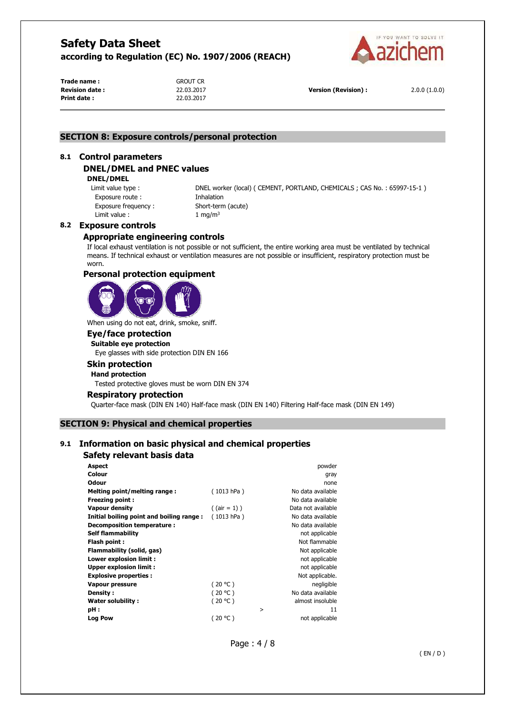

**Trade name :** GROUT CR **Print date :** 22.03.2017

**Revision date :** 22.03.2017 **Version (Revision) :** 2.0.0 (1.0.0)

### **SECTION 8: Exposure controls/personal protection**

#### **8.1 Control parameters**

### **DNEL/DMEL and PNEC values**

#### **DNEL/DMEL**

Exposure route : Thhalation Exposure frequency : Short-term (acute) Limit value :  $1 \text{ mg/m}^3$ 

Limit value type : DNEL worker (local) ( CEMENT, PORTLAND, CHEMICALS ; CAS No. : 65997-15-1 )

#### **8.2 Exposure controls**

### **Appropriate engineering controls**

If local exhaust ventilation is not possible or not sufficient, the entire working area must be ventilated by technical means. If technical exhaust or ventilation measures are not possible or insufficient, respiratory protection must be worn.

#### **Personal protection equipment**



When using do not eat, drink, smoke, sniff.

### **Eye/face protection**

**Suitable eye protection**  Eye glasses with side protection DIN EN 166

#### **Skin protection Hand protection**

Tested protective gloves must be worn DIN EN 374

### **Respiratory protection**

Quarter-face mask (DIN EN 140) Half-face mask (DIN EN 140) Filtering Half-face mask (DIN EN 149)

#### **SECTION 9: Physical and chemical properties**

### **9.1 Information on basic physical and chemical properties**

#### **Safety relevant basis data**

| Aspect                                   |                 |        | powder             |
|------------------------------------------|-----------------|--------|--------------------|
| Colour                                   |                 |        | gray               |
| Odour                                    |                 |        | none               |
| Melting point/melting range:             | (1013 hPa)      |        | No data available  |
| <b>Freezing point:</b>                   |                 |        | No data available  |
| <b>Vapour density</b>                    | $($ (air = 1) ) |        | Data not available |
| Initial boiling point and boiling range: | (1013 hPa)      |        | No data available  |
| Decomposition temperature:               |                 |        | No data available  |
| <b>Self flammability</b>                 |                 |        | not applicable     |
| Flash point:                             |                 |        | Not flammable      |
| Flammability (solid, gas)                |                 |        | Not applicable     |
| Lower explosion limit :                  |                 |        | not applicable     |
| <b>Upper explosion limit:</b>            |                 |        | not applicable     |
| <b>Explosive properties:</b>             |                 |        | Not applicable.    |
| Vapour pressure                          | (20 °C)         |        | negligible         |
| Density:                                 | (20 °C)         |        | No data available  |
| <b>Water solubility:</b>                 | (20 °C)         |        | almost insoluble   |
| pH:                                      |                 | $\geq$ | 11                 |
| Log Pow                                  | (20 °C)         |        | not applicable     |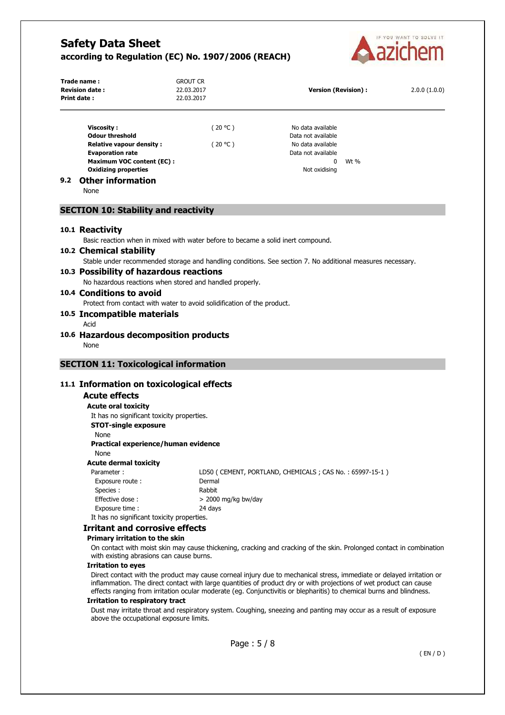

|     | Trade name:<br><b>Revision date:</b>                                             | <b>GROUT CR</b><br>22.03.2017 |                                                                                                                      |      |              |
|-----|----------------------------------------------------------------------------------|-------------------------------|----------------------------------------------------------------------------------------------------------------------|------|--------------|
|     | <b>Print date:</b>                                                               | 22.03.2017                    | <b>Version (Revision):</b>                                                                                           |      | 2.0.0(1.0.0) |
|     |                                                                                  |                               |                                                                                                                      |      |              |
|     | <b>Viscosity:</b>                                                                | (20 °C)                       | No data available                                                                                                    |      |              |
|     | <b>Odour threshold</b>                                                           |                               | Data not available                                                                                                   |      |              |
|     | <b>Relative vapour density:</b>                                                  | (20 °C)                       | No data available                                                                                                    |      |              |
|     | <b>Evaporation rate</b>                                                          |                               | Data not available                                                                                                   |      |              |
|     | <b>Maximum VOC content (EC):</b>                                                 |                               | 0                                                                                                                    | Wt % |              |
|     | <b>Oxidizing properties</b>                                                      |                               | Not oxidising                                                                                                        |      |              |
| 9.2 | <b>Other information</b><br>None                                                 |                               |                                                                                                                      |      |              |
|     | <b>SECTION 10: Stability and reactivity</b>                                      |                               |                                                                                                                      |      |              |
|     |                                                                                  |                               |                                                                                                                      |      |              |
|     | 10.1 Reactivity                                                                  |                               |                                                                                                                      |      |              |
|     | Basic reaction when in mixed with water before to became a solid inert compound. |                               |                                                                                                                      |      |              |
|     | 10.2 Chemical stability                                                          |                               |                                                                                                                      |      |              |
|     |                                                                                  |                               | Stable under recommended storage and handling conditions. See section 7. No additional measures necessary.           |      |              |
|     | 10.3 Possibility of hazardous reactions                                          |                               |                                                                                                                      |      |              |
|     | No hazardous reactions when stored and handled properly.                         |                               |                                                                                                                      |      |              |
|     | 10.4 Conditions to avoid                                                         |                               |                                                                                                                      |      |              |
|     | Protect from contact with water to avoid solidification of the product.          |                               |                                                                                                                      |      |              |
|     | 10.5 Incompatible materials                                                      |                               |                                                                                                                      |      |              |
|     | Acid                                                                             |                               |                                                                                                                      |      |              |
|     | 10.6 Hazardous decomposition products                                            |                               |                                                                                                                      |      |              |
|     | None                                                                             |                               |                                                                                                                      |      |              |
|     | <b>SECTION 11: Toxicological information</b>                                     |                               |                                                                                                                      |      |              |
|     | 11.1 Information on toxicological effects                                        |                               |                                                                                                                      |      |              |
|     | <b>Acute effects</b>                                                             |                               |                                                                                                                      |      |              |
|     | <b>Acute oral toxicity</b>                                                       |                               |                                                                                                                      |      |              |
|     | It has no significant toxicity properties.                                       |                               |                                                                                                                      |      |              |
|     | <b>STOT-single exposure</b>                                                      |                               |                                                                                                                      |      |              |
|     | None                                                                             |                               |                                                                                                                      |      |              |
|     | Practical experience/human evidence                                              |                               |                                                                                                                      |      |              |
|     | None                                                                             |                               |                                                                                                                      |      |              |
|     | <b>Acute dermal toxicity</b>                                                     |                               |                                                                                                                      |      |              |
|     | Parameter:                                                                       |                               | LD50 (CEMENT, PORTLAND, CHEMICALS; CAS No.: 65997-15-1)                                                              |      |              |
|     | Exposure route:                                                                  | Dermal                        |                                                                                                                      |      |              |
|     | Species :                                                                        | Rabbit                        |                                                                                                                      |      |              |
|     | Effective dose:                                                                  | $>$ 2000 mg/kg bw/day         |                                                                                                                      |      |              |
|     | Exposure time :                                                                  | 24 days                       |                                                                                                                      |      |              |
|     | It has no significant toxicity properties.                                       |                               |                                                                                                                      |      |              |
|     | <b>Irritant and corrosive effects</b>                                            |                               |                                                                                                                      |      |              |
|     | Primary irritation to the skin                                                   |                               |                                                                                                                      |      |              |
|     | with existing abrasions can cause burns.                                         |                               | On contact with moist skin may cause thickening, cracking and cracking of the skin. Prolonged contact in combination |      |              |

#### **Irritation to eyes**

Direct contact with the product may cause corneal injury due to mechanical stress, immediate or delayed irritation or inflammation. The direct contact with large quantities of product dry or with projections of wet product can cause effects ranging from irritation ocular moderate (eg. Conjunctivitis or blepharitis) to chemical burns and blindness.

#### **Irritation to respiratory tract**

Dust may irritate throat and respiratory system. Coughing, sneezing and panting may occur as a result of exposure above the occupational exposure limits.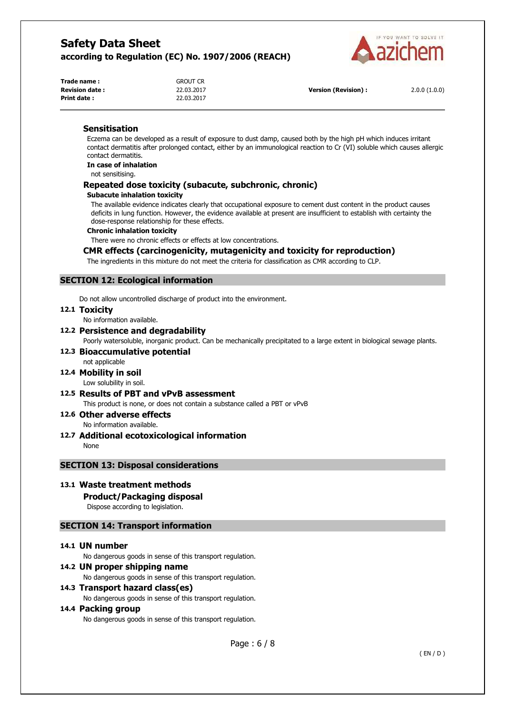

| Trade name:           | <b>GROUT CR</b> |
|-----------------------|-----------------|
| <b>Revision date:</b> | 22.03.2017      |
| <b>Print date:</b>    | 22.03.2017      |

**Version (Revision) :** 2.0.0 (1.0.0)

### **Sensitisation**

Eczema can be developed as a result of exposure to dust damp, caused both by the high pH which induces irritant contact dermatitis after prolonged contact, either by an immunological reaction to Cr (VI) soluble which causes allergic contact dermatitis.

**In case of inhalation** 

not sensitising.

### **Repeated dose toxicity (subacute, subchronic, chronic)**

#### **Subacute inhalation toxicity**

The available evidence indicates clearly that occupational exposure to cement dust content in the product causes deficits in lung function. However, the evidence available at present are insufficient to establish with certainty the dose-response relationship for these effects.

#### **Chronic inhalation toxicity**

There were no chronic effects or effects at low concentrations.

### **CMR effects (carcinogenicity, mutagenicity and toxicity for reproduction)**

The ingredients in this mixture do not meet the criteria for classification as CMR according to CLP.

### **SECTION 12: Ecological information**

Do not allow uncontrolled discharge of product into the environment.

#### **12.1 Toxicity**

No information available.

### **12.2 Persistence and degradability**

Poorly watersoluble, inorganic product. Can be mechanically precipitated to a large extent in biological sewage plants.

#### **12.3 Bioaccumulative potential**  not applicable

# **12.4 Mobility in soil**

Low solubility in soil.

**12.5 Results of PBT and vPvB assessment**  This product is none, or does not contain a substance called a PBT or vPvB

**12.6 Other adverse effects**  No information available.

**12.7 Additional ecotoxicological information**  None

### **SECTION 13: Disposal considerations**

### **13.1 Waste treatment methods**

### **Product/Packaging disposal**

Dispose according to legislation.

### **SECTION 14: Transport information**

### **14.1 UN number**

No dangerous goods in sense of this transport regulation.

### **14.2 UN proper shipping name**

No dangerous goods in sense of this transport regulation.

### **14.3 Transport hazard class(es)**

No dangerous goods in sense of this transport regulation.

### **14.4 Packing group**

No dangerous goods in sense of this transport regulation.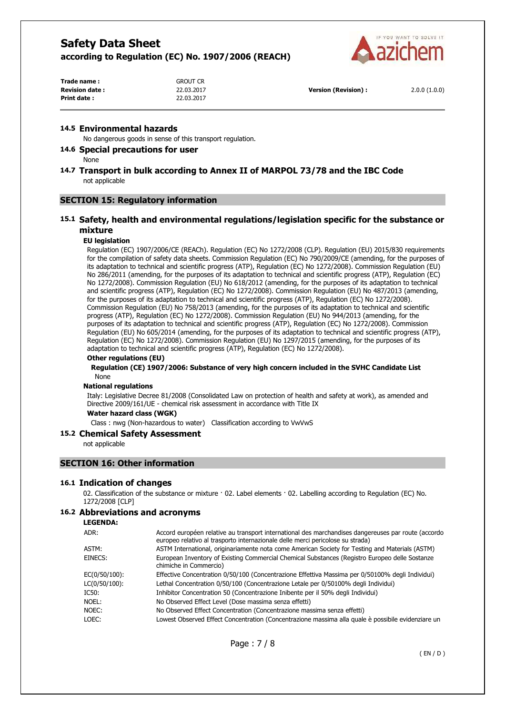

| Trade name:           | <b>GROUT CR</b> |                            |              |
|-----------------------|-----------------|----------------------------|--------------|
| <b>Revision date:</b> | 22.03.2017      | <b>Version (Revision):</b> | 2.0.0(1.0.0) |
| Print date:           | 22.03.2017      |                            |              |

#### **14.5 Environmental hazards**

No dangerous goods in sense of this transport regulation.

### **14.6 Special precautions for user**

None

### **14.7 Transport in bulk according to Annex II of MARPOL 73/78 and the IBC Code**  not applicable

#### **SECTION 15: Regulatory information**

### **15.1 Safety, health and environmental regulations/legislation specific for the substance or mixture**

#### **EU legislation**

Regulation (EC) 1907/2006/CE (REACh). Regulation (EC) No 1272/2008 (CLP). Regulation (EU) 2015/830 requirements for the compilation of safety data sheets. Commission Regulation (EC) No 790/2009/CE (amending, for the purposes of its adaptation to technical and scientific progress (ATP), Regulation (EC) No 1272/2008). Commission Regulation (EU) No 286/2011 (amending, for the purposes of its adaptation to technical and scientific progress (ATP), Regulation (EC) No 1272/2008). Commission Regulation (EU) No 618/2012 (amending, for the purposes of its adaptation to technical and scientific progress (ATP), Regulation (EC) No 1272/2008). Commission Regulation (EU) No 487/2013 (amending, for the purposes of its adaptation to technical and scientific progress (ATP), Regulation (EC) No 1272/2008). Commission Regulation (EU) No 758/2013 (amending, for the purposes of its adaptation to technical and scientific progress (ATP), Regulation (EC) No 1272/2008). Commission Regulation (EU) No 944/2013 (amending, for the purposes of its adaptation to technical and scientific progress (ATP), Regulation (EC) No 1272/2008). Commission Regulation (EU) No 605/2014 (amending, for the purposes of its adaptation to technical and scientific progress (ATP), Regulation (EC) No 1272/2008). Commission Regulation (EU) No 1297/2015 (amending, for the purposes of its adaptation to technical and scientific progress (ATP), Regulation (EC) No 1272/2008).

### **Other regulations (EU)**

#### **Regulation (CE) 1907/2006: Substance of very high concern included in the SVHC Candidate List**  None

#### **National regulations**

Italy: Legislative Decree 81/2008 (Consolidated Law on protection of health and safety at work), as amended and Directive 2009/161/UE - chemical risk assessment in accordance with Title IX

### **Water hazard class (WGK)**

Class : nwg (Non-hazardous to water) Classification according to VwVwS

#### **15.2 Chemical Safety Assessment**

not applicable

### **SECTION 16: Other information**

#### **16.1 Indication of changes**

02. Classification of the substance or mixture · 02. Label elements · 02. Labelling according to Regulation (EC) No. 1272/2008 [CLP]

### **16.2 Abbreviations and acronyms**

**LEGENDA:**

| ADR:          | Accord européen relative au transport international des marchandises dangereuses par route (accordo<br>europeo relativo al trasporto internazionale delle merci pericolose su strada) |
|---------------|---------------------------------------------------------------------------------------------------------------------------------------------------------------------------------------|
| ASTM:         | ASTM International, originariamente nota come American Society for Testing and Materials (ASTM)                                                                                       |
| EINECS:       | European Inventory of Existing Commercial Chemical Substances (Registro Europeo delle Sostanze<br>chimiche in Commercio)                                                              |
| EC(0/50/100): | Effective Concentration 0/50/100 (Concentrazione Effettiva Massima per 0/50100% degli Individui)                                                                                      |
| LC(0/50/100): | Lethal Concentration 0/50/100 (Concentrazione Letale per 0/50100% degli Individui)                                                                                                    |
| IC50:         | Inhibitor Concentration 50 (Concentrazione Inibente per il 50% degli Individui)                                                                                                       |
| NOEL:         | No Observed Effect Level (Dose massima senza effetti)                                                                                                                                 |
| NOEC:         | No Observed Effect Concentration (Concentrazione massima senza effetti)                                                                                                               |
| LOEC:         | Lowest Observed Effect Concentration (Concentrazione massima alla quale è possibile evidenziare un                                                                                    |